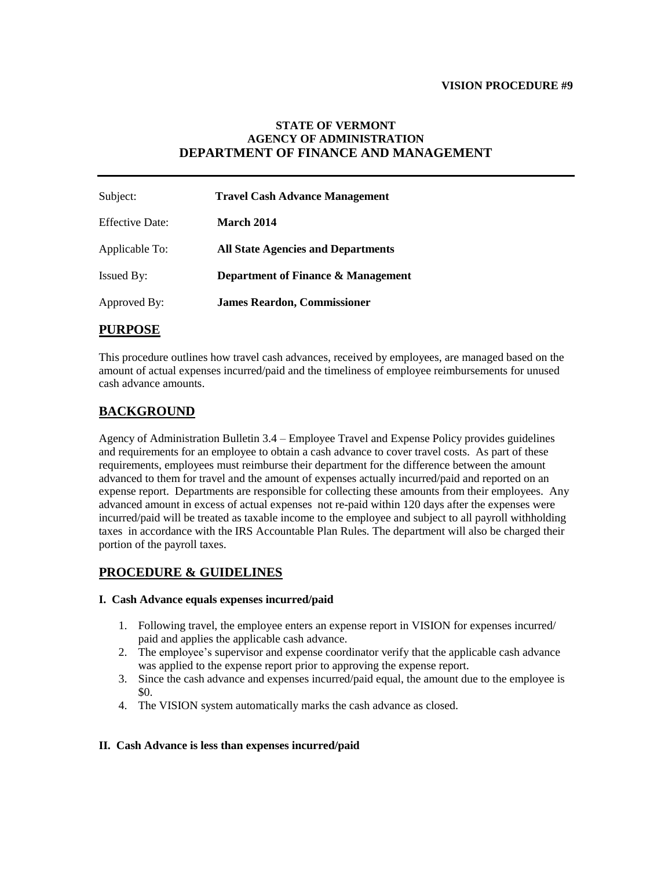#### **VISION PROCEDURE #9**

### **STATE OF VERMONT AGENCY OF ADMINISTRATION DEPARTMENT OF FINANCE AND MANAGEMENT**

| Subject:               | <b>Travel Cash Advance Management</b>     |
|------------------------|-------------------------------------------|
| <b>Effective Date:</b> | <b>March 2014</b>                         |
| Applicable To:         | <b>All State Agencies and Departments</b> |
| <b>Issued By:</b>      | Department of Finance & Management        |
| Approved By:           | <b>James Reardon, Commissioner</b>        |

# **PURPOSE**

This procedure outlines how travel cash advances, received by employees, are managed based on the amount of actual expenses incurred/paid and the timeliness of employee reimbursements for unused cash advance amounts.

# **BACKGROUND**

Agency of Administration Bulletin 3.4 – Employee Travel and Expense Policy provides guidelines and requirements for an employee to obtain a cash advance to cover travel costs. As part of these requirements, employees must reimburse their department for the difference between the amount advanced to them for travel and the amount of expenses actually incurred/paid and reported on an expense report. Departments are responsible for collecting these amounts from their employees. Any advanced amount in excess of actual expenses not re-paid within 120 days after the expenses were incurred/paid will be treated as taxable income to the employee and subject to all payroll withholding taxes in accordance with the IRS Accountable Plan Rules. The department will also be charged their portion of the payroll taxes.

# **PROCEDURE & GUIDELINES**

#### **I. Cash Advance equals expenses incurred/paid**

- 1. Following travel, the employee enters an expense report in VISION for expenses incurred/ paid and applies the applicable cash advance.
- 2. The employee's supervisor and expense coordinator verify that the applicable cash advance was applied to the expense report prior to approving the expense report.
- 3. Since the cash advance and expenses incurred/paid equal, the amount due to the employee is \$0.
- 4. The VISION system automatically marks the cash advance as closed.

#### **II. Cash Advance is less than expenses incurred/paid**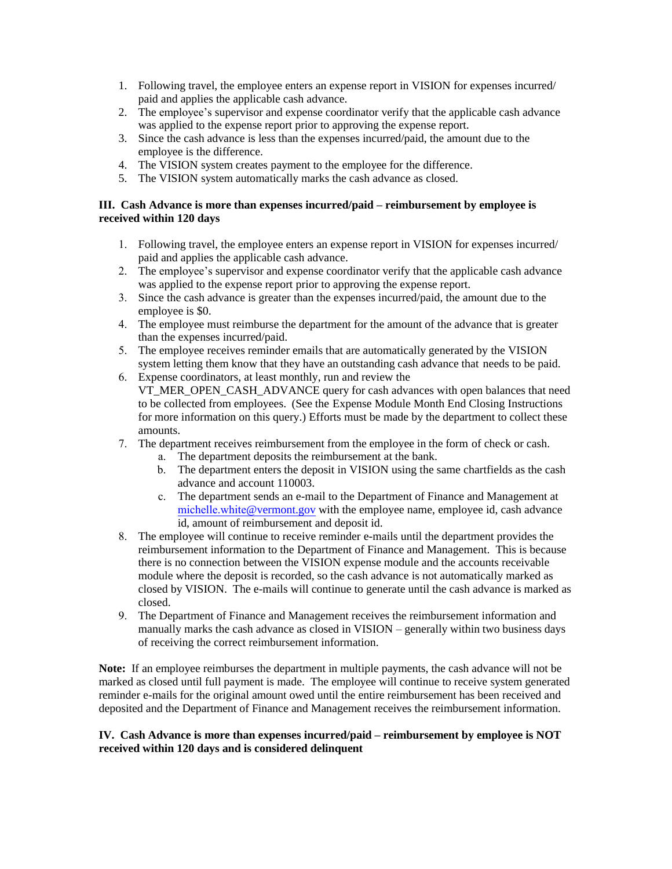- 1. Following travel, the employee enters an expense report in VISION for expenses incurred/ paid and applies the applicable cash advance.
- 2. The employee's supervisor and expense coordinator verify that the applicable cash advance was applied to the expense report prior to approving the expense report.
- 3. Since the cash advance is less than the expenses incurred/paid, the amount due to the employee is the difference.
- 4. The VISION system creates payment to the employee for the difference.
- 5. The VISION system automatically marks the cash advance as closed.

### **III. Cash Advance is more than expenses incurred/paid – reimbursement by employee is received within 120 days**

- 1. Following travel, the employee enters an expense report in VISION for expenses incurred/ paid and applies the applicable cash advance.
- 2. The employee's supervisor and expense coordinator verify that the applicable cash advance was applied to the expense report prior to approving the expense report.
- 3. Since the cash advance is greater than the expenses incurred/paid, the amount due to the employee is \$0.
- 4. The employee must reimburse the department for the amount of the advance that is greater than the expenses incurred/paid.
- 5. The employee receives reminder emails that are automatically generated by the VISION system letting them know that they have an outstanding cash advance that needs to be paid.
- 6. Expense coordinators, at least monthly, run and review the VT\_MER\_OPEN\_CASH\_ADVANCE query for cash advances with open balances that need to be collected from employees. (See the Expense Module Month End Closing Instructions for more information on this query.) Efforts must be made by the department to collect these amounts.
- 7. The department receives reimbursement from the employee in the form of check or cash.
	- a. The department deposits the reimbursement at the bank.
	- b. The department enters the deposit in VISION using the same chartfields as the cash advance and account 110003.
	- c. The department sends an e-mail to the Department of Finance and Management at michelle.white[@vermont.gov](mailto:ruthellen.doyon@vermont.gov) with the employee name, employee id, cash advance id, amount of reimbursement and deposit id.
- 8. The employee will continue to receive reminder e-mails until the department provides the reimbursement information to the Department of Finance and Management. This is because there is no connection between the VISION expense module and the accounts receivable module where the deposit is recorded, so the cash advance is not automatically marked as closed by VISION. The e-mails will continue to generate until the cash advance is marked as closed.
- 9. The Department of Finance and Management receives the reimbursement information and manually marks the cash advance as closed in VISION – generally within two business days of receiving the correct reimbursement information.

**Note:** If an employee reimburses the department in multiple payments, the cash advance will not be marked as closed until full payment is made. The employee will continue to receive system generated reminder e-mails for the original amount owed until the entire reimbursement has been received and deposited and the Department of Finance and Management receives the reimbursement information.

### **IV. Cash Advance is more than expenses incurred/paid – reimbursement by employee is NOT received within 120 days and is considered delinquent**